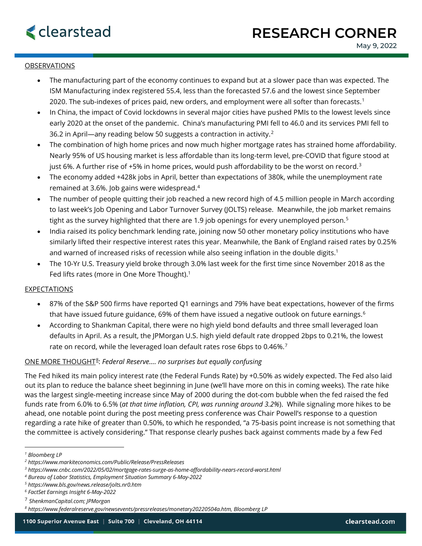## **OBSERVATIONS**

- The manufacturing part of the economy continues to expand but at a slower pace than was expected. The ISM Manufacturing index registered 55.4, less than the forecasted 57.6 and the lowest since September 2020. The sub-indexes of prices paid, new orders, and employment were all softer than forecasts.<sup>[1](#page-0-0)</sup>
- In China, the impact of Covid lockdowns in several major cities have pushed PMIs to the lowest levels since early 2020 at the onset of the pandemic. China's manufacturing PMI fell to 46.0 and its services PMI fell to 36.2 in April—any reading below 50 suggests a contraction in activity.[2](#page-0-1)
- The combination of high home prices and now much higher mortgage rates has strained home affordability. Nearly 95% of US housing market is less affordable than its long-term level, pre-COVID that figure stood at just 6%. A further rise of +5% in home prices, would push affordability to be the worst on record.<sup>[3](#page-0-2)</sup>
- The economy added +428k jobs in April, better than expectations of 380k, while the unemployment rate remained at 3.6%. Job gains were widespread.[4](#page-0-3)
- The number of people quitting their job reached a new record high of 4.5 million people in March according to last week's Job Opening and Labor Turnover Survey (JOLTS) release. Meanwhile, the job market remains tight as the survey highlighted that there are 1.9 job openings for every unemployed person.<sup>[5](#page-0-4)</sup>
- India raised its policy benchmark lending rate, joining now 50 other monetary policy institutions who have similarly lifted their respective interest rates this year. Meanwhile, the Bank of England raised rates by 0.25% and warned of increased risks of recession while also seeing inflation in the double digits.<sup>1</sup>
- The 10-Yr U.S. Treasury yield broke through 3.0% last week for the first time since November 2018 as the Fed lifts rates (more in One More Thought). 1

#### EXPECTATIONS

- 87% of the S&P 500 firms have reported Q1 earnings and 79% have beat expectations, however of the firms that have issued future guidance, [6](#page-0-5)9% of them have issued a negative outlook on future earnings.<sup>6</sup>
- According to Shankman Capital, there were no high yield bond defaults and three small leveraged loan defaults in April. As a result, the JPMorgan U.S. high yield default rate dropped 2bps to 0.21%, the lowest rate on record, while the leveraged loan default rates rose 6bps to 0.46%.<sup>[7](#page-0-6)</sup>

## ONE MORE THOUGHT[8](#page-0-7): *Federal Reserve…. no surprises but equally confusing*

The Fed hiked its main policy interest rate (the Federal Funds Rate) by +0.50% as widely expected. The Fed also laid out its plan to reduce the balance sheet beginning in June (we'll have more on this in coming weeks). The rate hike was the largest single-meeting increase since May of 2000 during the dot-com bubble when the fed raised the fed funds rate from 6.0% to 6.5% (*at that time inflation, CPI, was running around 3.2%*). While signaling more hikes to be ahead, one notable point during the post meeting press conference was Chair Powell's response to a question regarding a rate hike of greater than 0.50%, to which he responded, "a 75-basis point increase is not something that the committee is actively considering." That response clearly pushes back against comments made by a few Fed

<span id="page-0-0"></span>*<sup>1</sup> Bloomberg LP*

<span id="page-0-1"></span>*<sup>2</sup> https://www.markiteconomics.com/Public/Release/PressReleases*

<span id="page-0-2"></span>*<sup>3</sup> https://www.cnbc.com/2022/05/02/mortgage-rates-surge-as-home-affordability-nears-record-worst.html*

<span id="page-0-3"></span>*<sup>4</sup> Bureau of Labor Statistics, Employment Situation Summary 6-May-2022*

<span id="page-0-4"></span>*<sup>5</sup> https://www.bls.gov/news.release/jolts.nr0.htm*

<span id="page-0-5"></span>*<sup>6</sup> FactSet Earnings Insight 6-May-2022*

<span id="page-0-6"></span><sup>7</sup> *ShenkmanCapital.com; JPMorgan*

<span id="page-0-7"></span>*<sup>8</sup> https://www.federalreserve.gov/newsevents/pressreleases/monetary20220504a.htm, Bloomberg LP*